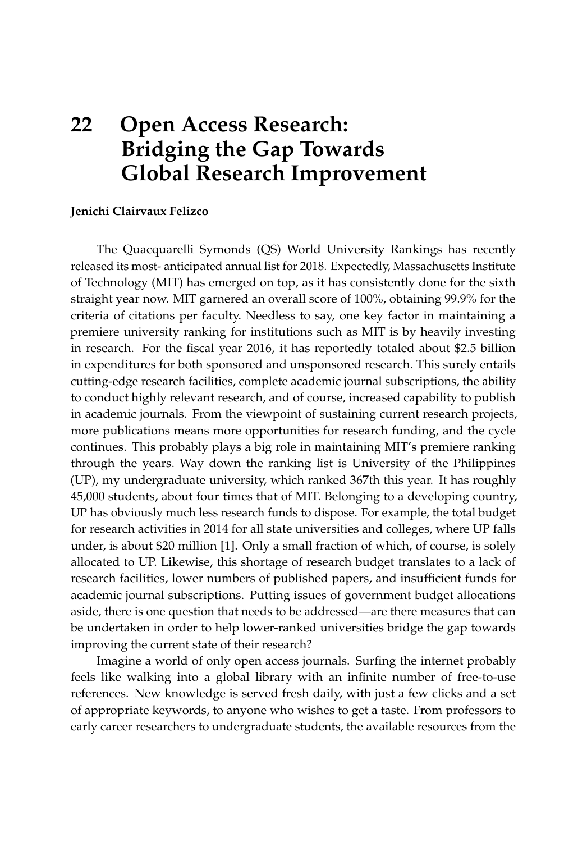## **22 Open Access Research: Bridging the Gap Towards Global Research Improvement**

## **Jenichi Clairvaux Felizco**

The Quacquarelli Symonds (QS) World University Rankings has recently released its most- anticipated annual list for 2018. Expectedly, Massachusetts Institute of Technology (MIT) has emerged on top, as it has consistently done for the sixth straight year now. MIT garnered an overall score of 100%, obtaining 99.9% for the criteria of citations per faculty. Needless to say, one key factor in maintaining a premiere university ranking for institutions such as MIT is by heavily investing in research. For the fiscal year 2016, it has reportedly totaled about \$2.5 billion in expenditures for both sponsored and unsponsored research. This surely entails cutting-edge research facilities, complete academic journal subscriptions, the ability to conduct highly relevant research, and of course, increased capability to publish in academic journals. From the viewpoint of sustaining current research projects, more publications means more opportunities for research funding, and the cycle continues. This probably plays a big role in maintaining MIT's premiere ranking through the years. Way down the ranking list is University of the Philippines (UP), my undergraduate university, which ranked 367th this year. It has roughly 45,000 students, about four times that of MIT. Belonging to a developing country, UP has obviously much less research funds to dispose. For example, the total budget for research activities in 2014 for all state universities and colleges, where UP falls under, is about \$20 million [\[1\]](#page-2-0). Only a small fraction of which, of course, is solely allocated to UP. Likewise, this shortage of research budget translates to a lack of research facilities, lower numbers of published papers, and insufficient funds for academic journal subscriptions. Putting issues of government budget allocations aside, there is one question that needs to be addressed—are there measures that can be undertaken in order to help lower-ranked universities bridge the gap towards improving the current state of their research?

Imagine a world of only open access journals. Surfing the internet probably feels like walking into a global library with an infinite number of free-to-use references. New knowledge is served fresh daily, with just a few clicks and a set of appropriate keywords, to anyone who wishes to get a taste. From professors to early career researchers to undergraduate students, the available resources from the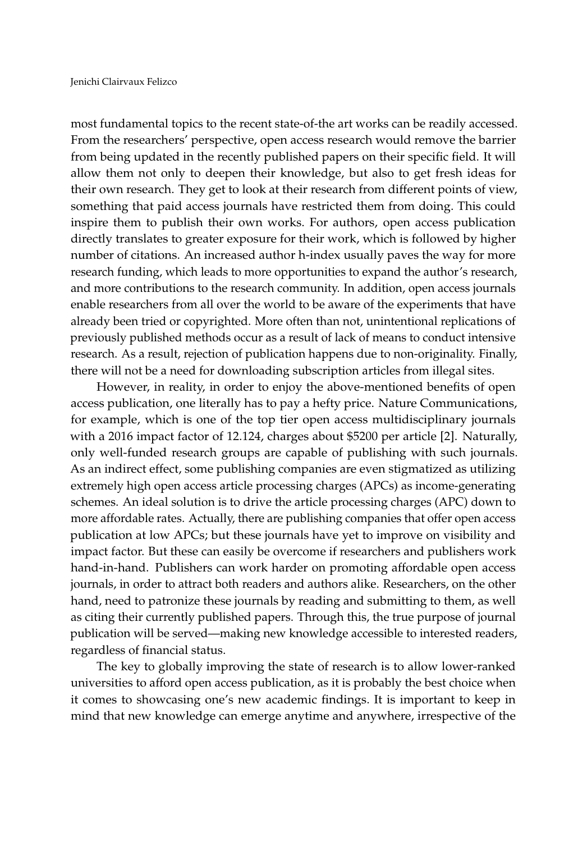most fundamental topics to the recent state-of-the art works can be readily accessed. From the researchers' perspective, open access research would remove the barrier from being updated in the recently published papers on their specific field. It will allow them not only to deepen their knowledge, but also to get fresh ideas for their own research. They get to look at their research from different points of view, something that paid access journals have restricted them from doing. This could inspire them to publish their own works. For authors, open access publication directly translates to greater exposure for their work, which is followed by higher number of citations. An increased author h-index usually paves the way for more research funding, which leads to more opportunities to expand the author's research, and more contributions to the research community. In addition, open access journals enable researchers from all over the world to be aware of the experiments that have already been tried or copyrighted. More often than not, unintentional replications of previously published methods occur as a result of lack of means to conduct intensive research. As a result, rejection of publication happens due to non-originality. Finally, there will not be a need for downloading subscription articles from illegal sites.

However, in reality, in order to enjoy the above-mentioned benefits of open access publication, one literally has to pay a hefty price. Nature Communications, for example, which is one of the top tier open access multidisciplinary journals with a 2016 impact factor of 12.124, charges about \$5200 per article [\[2\]](#page-2-1). Naturally, only well-funded research groups are capable of publishing with such journals. As an indirect effect, some publishing companies are even stigmatized as utilizing extremely high open access article processing charges (APCs) as income-generating schemes. An ideal solution is to drive the article processing charges (APC) down to more affordable rates. Actually, there are publishing companies that offer open access publication at low APCs; but these journals have yet to improve on visibility and impact factor. But these can easily be overcome if researchers and publishers work hand-in-hand. Publishers can work harder on promoting affordable open access journals, in order to attract both readers and authors alike. Researchers, on the other hand, need to patronize these journals by reading and submitting to them, as well as citing their currently published papers. Through this, the true purpose of journal publication will be served—making new knowledge accessible to interested readers, regardless of financial status.

The key to globally improving the state of research is to allow lower-ranked universities to afford open access publication, as it is probably the best choice when it comes to showcasing one's new academic findings. It is important to keep in mind that new knowledge can emerge anytime and anywhere, irrespective of the